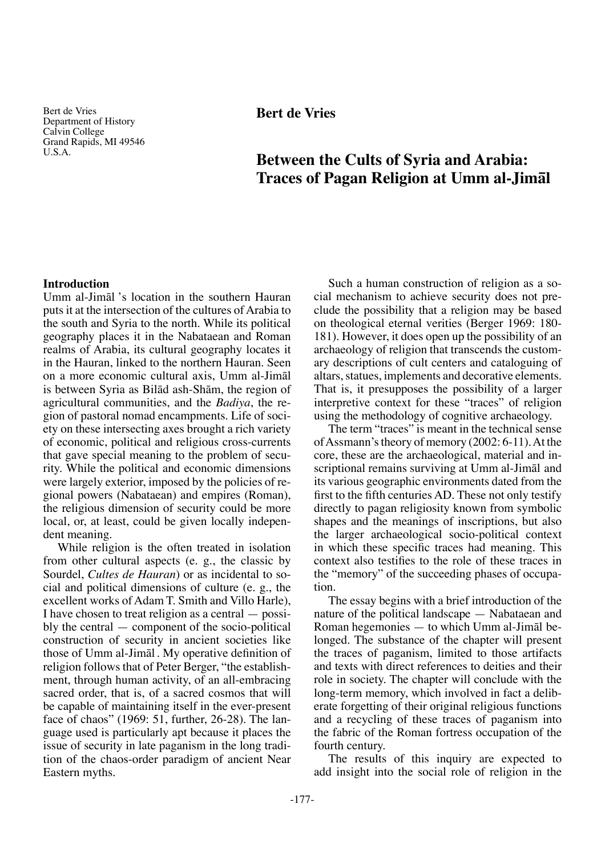Bert de Vries Department of History Calvin College Grand Rapids, MI 49546 U.S.A.

# **Bert de Vries**

# **Between the Cults of Syria and Arabia: Traces of Pagan Religion at Umm al-Jimål**

## **Introduction**

Umm al-Jimål 's location in the southern Hauran puts it at the intersection of the cultures of Arabia to the south and Syria to the north. While its political geography places it in the Nabataean and Roman realms of Arabia, its cultural geography locates it in the Hauran, linked to the northern Hauran. Seen on a more economic cultural axis, Umm al-Jimål is between Syria as Bilåd ash-Shåm, the region of agricultural communities, and the *Badiya*, the region of pastoral nomad encampments. Life of society on these intersecting axes brought a rich variety of economic, political and religious cross-currents that gave special meaning to the problem of security. While the political and economic dimensions were largely exterior, imposed by the policies of regional powers (Nabataean) and empires (Roman), the religious dimension of security could be more local, or, at least, could be given locally independent meaning.

While religion is the often treated in isolation from other cultural aspects (e. g., the classic by Sourdel, *Cultes de Hauran*) or as incidental to social and political dimensions of culture (e. g., the excellent works of Adam T. Smith and Villo Harle), I have chosen to treat religion as a central — possibly the central — component of the socio-political construction of security in ancient societies like those of Umm al-Jimål . My operative definition of religion follows that of Peter Berger, "the establishment, through human activity, of an all-embracing sacred order, that is, of a sacred cosmos that will be capable of maintaining itself in the ever-present face of chaos" (1969: 51, further, 26-28). The language used is particularly apt because it places the issue of security in late paganism in the long tradition of the chaos-order paradigm of ancient Near Eastern myths.

Such a human construction of religion as a social mechanism to achieve security does not preclude the possibility that a religion may be based on theological eternal verities (Berger 1969: 180- 181). However, it does open up the possibility of an archaeology of religion that transcends the customary descriptions of cult centers and cataloguing of altars, statues, implements and decorative elements. That is, it presupposes the possibility of a larger interpretive context for these "traces" of religion using the methodology of cognitive archaeology.

The term "traces" is meant in the technical sense of Assmann's theory of memory (2002: 6-11). At the core, these are the archaeological, material and inscriptional remains surviving at Umm al-Jimål and its various geographic environments dated from the first to the fifth centuries AD. These not only testify directly to pagan religiosity known from symbolic shapes and the meanings of inscriptions, but also the larger archaeological socio-political context in which these specific traces had meaning. This context also testifies to the role of these traces in the "memory" of the succeeding phases of occupation.

The essay begins with a brief introduction of the nature of the political landscape — Nabataean and Roman hegemonies — to which Umm al-Jimål belonged. The substance of the chapter will present the traces of paganism, limited to those artifacts and texts with direct references to deities and their role in society. The chapter will conclude with the long-term memory, which involved in fact a deliberate forgetting of their original religious functions and a recycling of these traces of paganism into the fabric of the Roman fortress occupation of the fourth century.

The results of this inquiry are expected to add insight into the social role of religion in the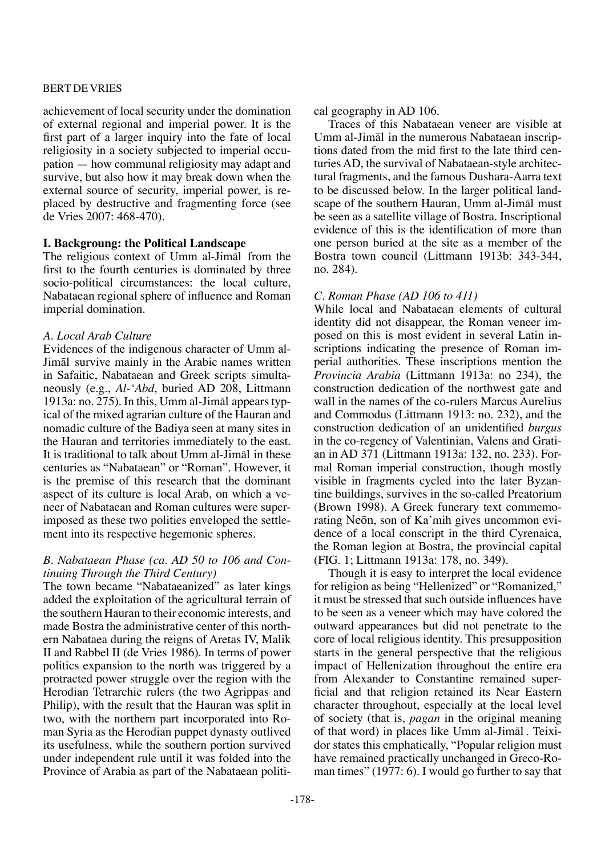achievement of local security under the domination of external regional and imperial power. It is the first part of a larger inquiry into the fate of local religiosity in a society subjected to imperial occupation — how communal religiosity may adapt and survive, but also how it may break down when the external source of security, imperial power, is replaced by destructive and fragmenting force (see de Vries 2007: 468-470).

# **I. Backgroung: the Political Landscape**

The religious context of Umm al-Jimål from the first to the fourth centuries is dominated by three socio-political circumstances: the local culture, Nabataean regional sphere of influence and Roman imperial domination.

## *A. Local Arab Culture*

Evidences of the indigenous character of Umm al-Jimål survive mainly in the Arabic names written in Safaitic, Nabataean and Greek scripts simultaneously (e.g., *Al-'Abd*, buried AD 208, Littmann 1913a: no. 275). In this, Umm al-Jimål appears typical of the mixed agrarian culture of the Hauran and nomadic culture of the Badiya seen at many sites in the Hauran and territories immediately to the east. It is traditional to talk about Umm al-Jimål in these centuries as "Nabataean" or "Roman". However, it is the premise of this research that the dominant aspect of its culture is local Arab, on which a veneer of Nabataean and Roman cultures were superimposed as these two polities enveloped the settlement into its respective hegemonic spheres.

## *B. Nabataean Phase (ca. AD 50 to 106 and Continuing Through the Third Century)*

The town became "Nabataeanized" as later kings added the exploitation of the agricultural terrain of the southern Hauran to their economic interests, and made Bostra the administrative center of this northern Nabataea during the reigns of Aretas IV, Malik II and Rabbel II (de Vries 1986). In terms of power politics expansion to the north was triggered by a protracted power struggle over the region with the Herodian Tetrarchic rulers (the two Agrippas and Philip), with the result that the Hauran was split in two, with the northern part incorporated into Roman Syria as the Herodian puppet dynasty outlived its usefulness, while the southern portion survived under independent rule until it was folded into the Province of Arabia as part of the Nabataean political geography in AD 106.

Traces of this Nabataean veneer are visible at Umm al-Jimål in the numerous Nabataean inscriptions dated from the mid first to the late third centuries AD, the survival of Nabataean-style architectural fragments, and the famous Dushara-Aarra text to be discussed below. In the larger political landscape of the southern Hauran, Umm al-Jimål must be seen as a satellite village of Bostra. Inscriptional evidence of this is the identification of more than one person buried at the site as a member of the Bostra town council (Littmann 1913b: 343-344, no. 284).

## *C. Roman Phase (AD 106 to 411)*

While local and Nabataean elements of cultural identity did not disappear, the Roman veneer imposed on this is most evident in several Latin inscriptions indicating the presence of Roman imperial authorities. These inscriptions mention the *Provincia Arabia* (Littmann 1913a: no 234), the construction dedication of the northwest gate and wall in the names of the co-rulers Marcus Aurelius and Commodus (Littmann 1913: no. 232), and the construction dedication of an unidentified *burgus* in the co-regency of Valentinian, Valens and Gratian in AD 371 (Littmann 1913a: 132, no. 233). Formal Roman imperial construction, though mostly visible in fragments cycled into the later Byzantine buildings, survives in the so-called Preatorium (Brown 1998). A Greek funerary text commemorating NeÒn, son of Ka'mih gives uncommon evidence of a local conscript in the third Cyrenaica, the Roman legion at Bostra, the provincial capital (FIG. 1; Littmann 1913a: 178, no. 349).

Though it is easy to interpret the local evidence for religion as being "Hellenized" or "Romanized," it must be stressed that such outside influences have to be seen as a veneer which may have colored the outward appearances but did not penetrate to the core of local religious identity. This presupposition starts in the general perspective that the religious impact of Hellenization throughout the entire era from Alexander to Constantine remained superficial and that religion retained its Near Eastern character throughout, especially at the local level of society (that is, *pagan* in the original meaning of that word) in places like Umm al-Jimål . Teixidor states this emphatically, "Popular religion must have remained practically unchanged in Greco-Roman times" (1977: 6). I would go further to say that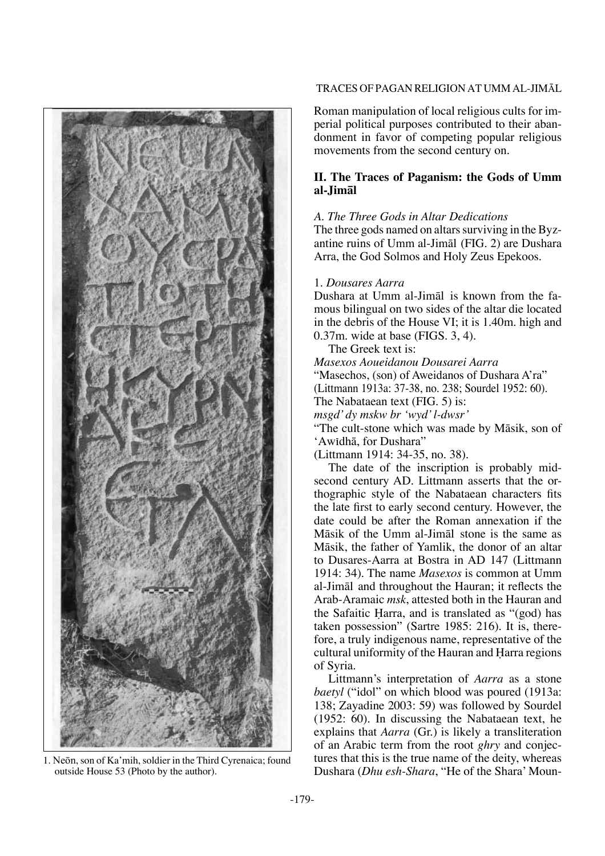

outside House 53 (Photo by the author).

#### Traces of Pagan Religion at Umm al-JimÅl

Roman manipulation of local religious cults for imperial political purposes contributed to their abandonment in favor of competing popular religious movements from the second century on.

## **II. The Traces of Paganism: the Gods of Umm al-Jimål**

#### *A. The Three Gods in Altar Dedications*

The three gods named on altars surviving in the Byzantine ruins of Umm al-Jimål (FIG. 2) are Dushara Arra, the God Solmos and Holy Zeus Epekoos.

#### 1. *Dousares Aarra*

Dushara at Umm al-Jimål is known from the famous bilingual on two sides of the altar die located in the debris of the House VI; it is 1.40m. high and 0.37m. wide at base (FIGS. 3, 4).

The Greek text is:

*Masexos Aoueidanou Dousarei Aarra* "Masechos, (son) of Aweidanos of Dushara A'ra" (Littmann 1913a: 37-38, no. 238; Sourdel 1952: 60). The Nabataean text (FIG. 5) is: *msgd' dy mskw br 'wyd' l-dwsr'* "The cult-stone which was made by Måsik, son of

'Awπdhå, for Dushara"

(Littmann 1914: 34-35, no. 38).

The date of the inscription is probably midsecond century AD. Littmann asserts that the orthographic style of the Nabataean characters fits the late first to early second century. However, the date could be after the Roman annexation if the Måsik of the Umm al-Jimål stone is the same as Måsik, the father of Yamlik, the donor of an altar to Dusares-Aarra at Bostra in AD 147 (Littmann 1914: 34). The name *Masexos* is common at Umm al-Jimål and throughout the Hauran; it reflects the Arab-Aramaic *msk*, attested both in the Hauran and the Safaitic Harra, and is translated as "(god) has taken possession" (Sartre 1985: 216). It is, therefore, a truly indigenous name, representative of the cultural uniformity of the Hauran and Harra regions of Syria.

Littmann's interpretation of *Aarra* as a stone *baetyl* ("idol" on which blood was poured (1913a: 138; Zayadine 2003: 59) was followed by Sourdel (1952: 60). In discussing the Nabataean text, he explains that *Aarra* (Gr.) is likely a transliteration of an Arabic term from the root *ghry* and conjectures that this is the true name of the deity, whereas 1. Neōn, son of Ka'mih, soldier in the Third Cyrenaica; found tures that this is the true name of the deity, whereas outside House 53 (Photo by the author).<br>Dushara (*Dhu esh-Shara*, "He of the Shara' Moun-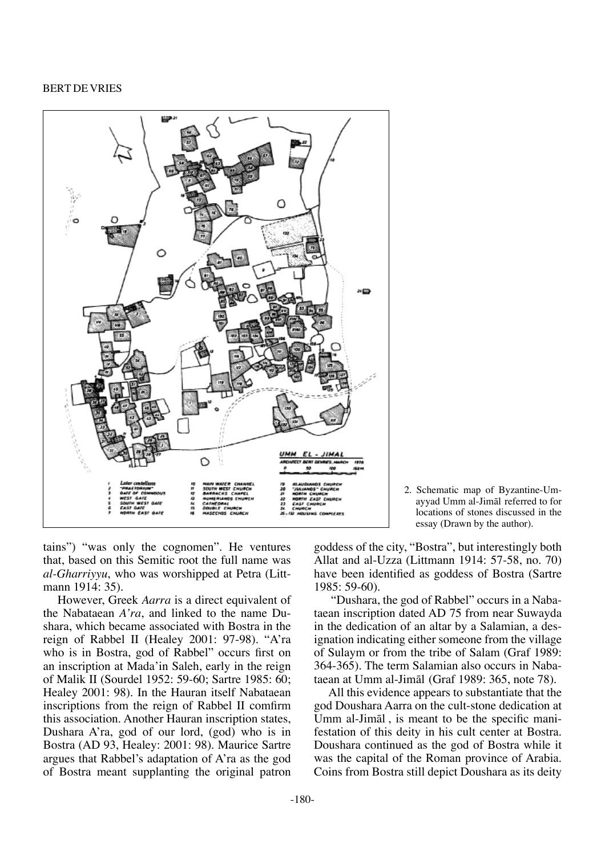

2. Schematic map of Byzantine-Umayyad Umm al-Jimål referred to for locations of stones discussed in the essay (Drawn by the author).

tains") "was only the cognomen". He ventures that, based on this Semitic root the full name was *al-Gharriyyu*, who was worshipped at Petra (Littmann 1914: 35).

However, Greek *Aarra* is a direct equivalent of the Nabataean *A'ra*, and linked to the name Dushara, which became associated with Bostra in the reign of Rabbel II (Healey 2001: 97-98). "A'ra who is in Bostra, god of Rabbel" occurs first on an inscription at Mada'in Saleh, early in the reign of Malik II (Sourdel 1952: 59-60; Sartre 1985: 60; Healey 2001: 98). In the Hauran itself Nabataean inscriptions from the reign of Rabbel II comfirm this association. Another Hauran inscription states, Dushara A'ra, god of our lord, (god) who is in Bostra (AD 93, Healey: 2001: 98). Maurice Sartre argues that Rabbel's adaptation of A'ra as the god of Bostra meant supplanting the original patron goddess of the city, "Bostra", but interestingly both Allat and al-Uzza (Littmann 1914: 57-58, no. 70) have been identified as goddess of Bostra (Sartre 1985: 59-60).

 "Dushara, the god of Rabbel" occurs in a Nabataean inscription dated AD 75 from near Suwayda in the dedication of an altar by a Salamian, a designation indicating either someone from the village of Sulaym or from the tribe of Salam (Graf 1989: 364-365). The term Salamian also occurs in Nabataean at Umm al-Jimål (Graf 1989: 365, note 78).

All this evidence appears to substantiate that the god Doushara Aarra on the cult-stone dedication at Umm al-Jimål , is meant to be the specific manifestation of this deity in his cult center at Bostra. Doushara continued as the god of Bostra while it was the capital of the Roman province of Arabia. Coins from Bostra still depict Doushara as its deity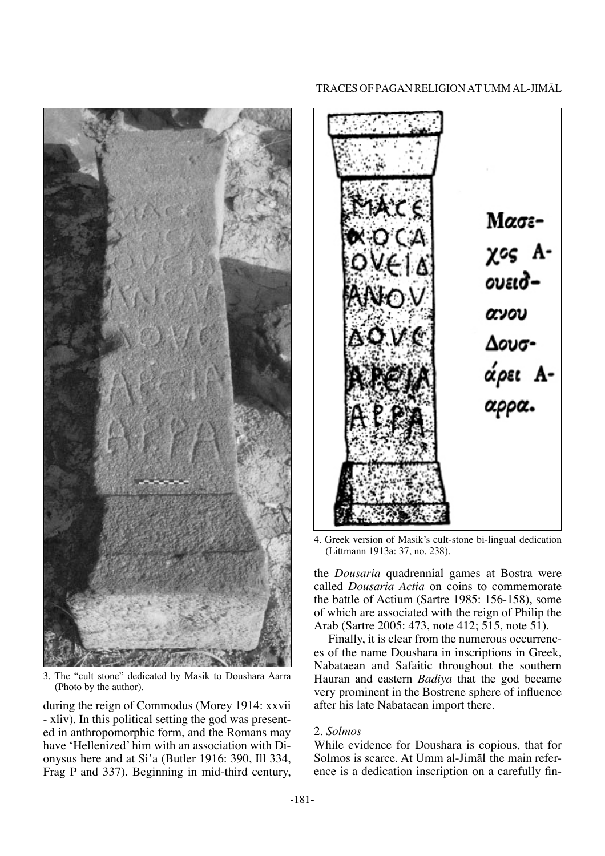

3. The "cult stone" dedicated by Masik to Doushara Aarra (Photo by the author).

during the reign of Commodus (Morey 1914: xxvii - xliv). In this political setting the god was presented in anthropomorphic form, and the Romans may have 'Hellenized' him with an association with Dionysus here and at Si'a (Butler 1916: 390, Ill 334, Frag P and 337). Beginning in mid-third century,

#### Traces of Pagan Religion at Umm al-JimÅl



4. Greek version of Masik's cult-stone bi-lingual dedication (Littmann 1913a: 37, no. 238).

the *Dousaria* quadrennial games at Bostra were called *Dousaria Actia* on coins to commemorate the battle of Actium (Sartre 1985: 156-158), some of which are associated with the reign of Philip the Arab (Sartre 2005: 473, note 412; 515, note 51).

Finally, it is clear from the numerous occurrences of the name Doushara in inscriptions in Greek, Nabataean and Safaitic throughout the southern Hauran and eastern *Badiya* that the god became very prominent in the Bostrene sphere of influence after his late Nabataean import there.

#### 2. *Solmos*

While evidence for Doushara is copious, that for Solmos is scarce. At Umm al-Jimål the main reference is a dedication inscription on a carefully fin-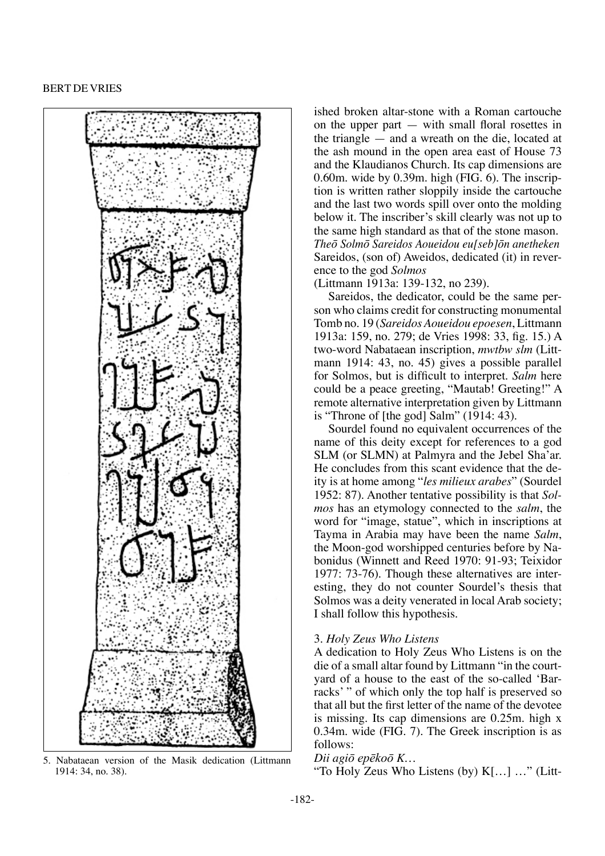

5. Nabataean version of the Masik dedication (Littmann  $Dii$  agio epekoo K...<br>
"To Holy Zeus Who Listens (by) K[...] ..." (Litt-1914: 34, no. 38).

ished broken altar-stone with a Roman cartouche on the upper part — with small floral rosettes in the triangle — and a wreath on the die, located at the ash mound in the open area east of House 73 and the Klaudianos Church. Its cap dimensions are 0.60m. wide by 0.39m. high (FIG. 6). The inscription is written rather sloppily inside the cartouche and the last two words spill over onto the molding below it. The inscriber's skill clearly was not up to the same high standard as that of the stone mason. *TheÒ SolmÒ Sareidos Aoueidou eu[seb]Òn anetheken* Sareidos, (son of) Aweidos, dedicated (it) in reverence to the god *Solmos*

(Littmann 1913a: 139-132, no 239).

Sareidos, the dedicator, could be the same person who claims credit for constructing monumental Tomb no. 19 (*Sareidos Aoueidou epoesen*, Littmann 1913a: 159, no. 279; de Vries 1998: 33, fig. 15.) A two-word Nabataean inscription, *mwtbw slm* (Littmann 1914: 43, no. 45) gives a possible parallel for Solmos, but is difficult to interpret. *Salm* here could be a peace greeting, "Mautab! Greeting!" A remote alternative interpretation given by Littmann is "Throne of [the god] Salm" (1914: 43).

Sourdel found no equivalent occurrences of the name of this deity except for references to a god SLM (or SLMN) at Palmyra and the Jebel Sha'ar. He concludes from this scant evidence that the deity is at home among "*les milieux arabes*" (Sourdel 1952: 87). Another tentative possibility is that *Solmos* has an etymology connected to the *salm*, the word for "image, statue", which in inscriptions at Tayma in Arabia may have been the name *Salm*, the Moon-god worshipped centuries before by Nabonidus (Winnett and Reed 1970: 91-93; Teixidor 1977: 73-76). Though these alternatives are interesting, they do not counter Sourdel's thesis that Solmos was a deity venerated in local Arab society; I shall follow this hypothesis.

## 3. *Holy Zeus Who Listens*

A dedication to Holy Zeus Who Listens is on the die of a small altar found by Littmann "in the courtyard of a house to the east of the so-called 'Barracks'" of which only the top half is preserved so that all but the first letter of the name of the devotee is missing. Its cap dimensions are 0.25m. high x 0.34m. wide (FIG. 7). The Greek inscription is as follows:

#### *Dii agiÒ epækoÒ K…*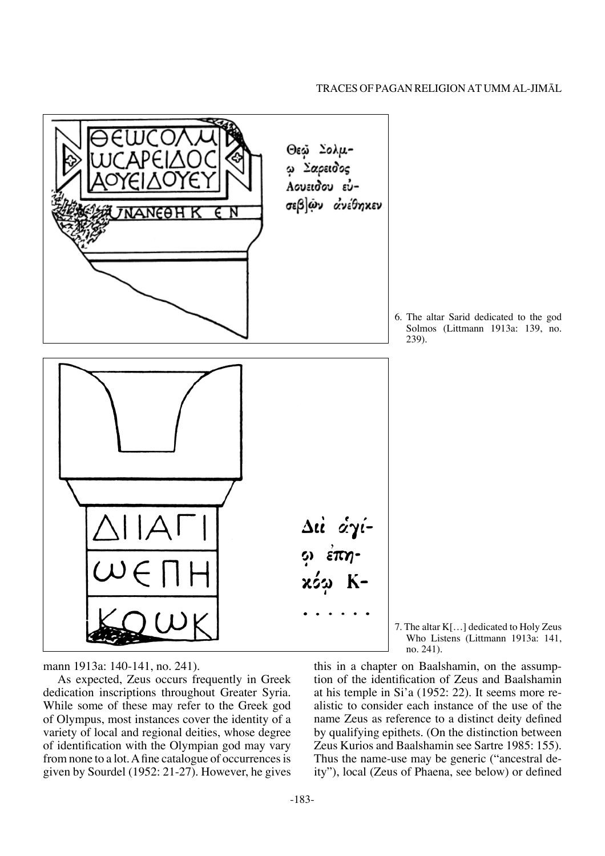

6. The altar Sarid dedicated to the god Solmos (Littmann 1913a: 139, no. 239).

7. The altar K[…] dedicated to Holy Zeus Who Listens (Littmann 1913a: 141, no. 241).

mann 1913a: 140-141, no. 241).

As expected, Zeus occurs frequently in Greek dedication inscriptions throughout Greater Syria. While some of these may refer to the Greek god of Olympus, most instances cover the identity of a variety of local and regional deities, whose degree of identification with the Olympian god may vary from none to a lot. A fine catalogue of occurrences is given by Sourdel (1952: 21-27). However, he gives

this in a chapter on Baalshamin, on the assumption of the identification of Zeus and Baalshamin at his temple in Si'a (1952: 22). It seems more realistic to consider each instance of the use of the name Zeus as reference to a distinct deity defined by qualifying epithets. (On the distinction between Zeus Kurios and Baalshamin see Sartre 1985: 155). Thus the name-use may be generic ("ancestral deity"), local (Zeus of Phaena, see below) or defined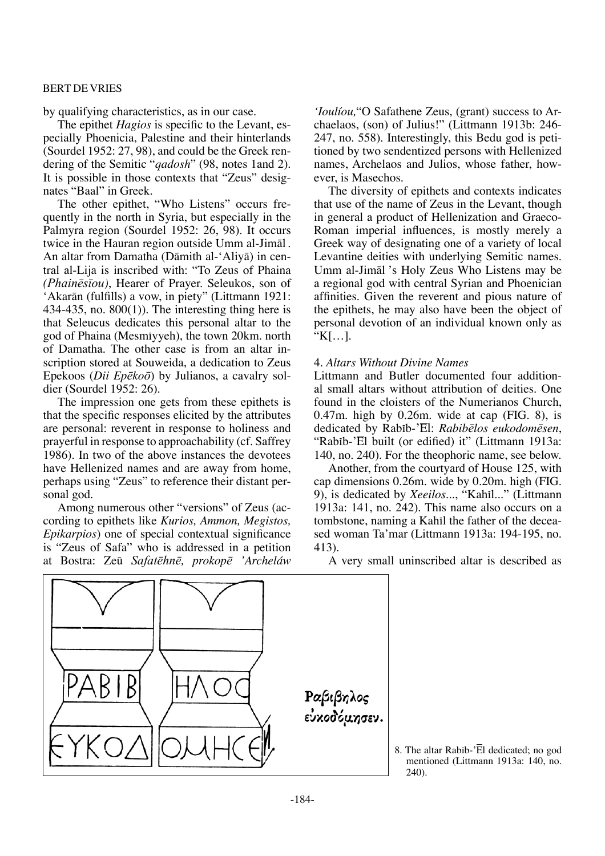by qualifying characteristics, as in our case.

The epithet *Hagios* is specific to the Levant, especially Phoenicia, Palestine and their hinterlands (Sourdel 1952: 27, 98), and could be the Greek rendering of the Semitic "*qadosh*" (98, notes 1and 2). It is possible in those contexts that "Zeus" designates "Baal" in Greek.

The other epithet, "Who Listens" occurs frequently in the north in Syria, but especially in the Palmyra region (Sourdel 1952: 26, 98). It occurs twice in the Hauran region outside Umm al-Jimål . An altar from Damatha (Dåmith al-'Aliyå) in central al-Lija is inscribed with: "To Zeus of Phaina *(Phainæsíou)*, Hearer of Prayer. Seleukos, son of 'Akarån (fulfills) a vow, in piety" (Littmann 1921: 434-435, no. 800(1)). The interesting thing here is that Seleucus dedicates this personal altar to the god of Phaina (Mesmπyyeh), the town 20km. north of Damatha. The other case is from an altar inscription stored at Souweida, a dedication to Zeus Epekoos (*Dii EpækoÒ*) by Julianos, a cavalry soldier (Sourdel 1952: 26).

The impression one gets from these epithets is that the specific responses elicited by the attributes are personal: reverent in response to holiness and prayerful in response to approachability (cf. Saffrey 1986). In two of the above instances the devotees have Hellenized names and are away from home, perhaps using "Zeus" to reference their distant personal god.

Among numerous other "versions" of Zeus (according to epithets like *Kurios, Ammon, Megistos, Epikarpios*) one of special contextual significance is "Zeus of Safa" who is addressed in a petition at Bostra: Zeø *Safatæhnæ, prokopæ 'Archeláw* 

*'Ioulíou,*"O Safathene Zeus, (grant) success to Archaelaos, (son) of Julius!" (Littmann 1913b: 246- 247, no. 558). Interestingly, this Bedu god is petitioned by two sendentized persons with Hellenized names, Archelaos and Julios, whose father, however, is Masechos.

The diversity of epithets and contexts indicates that use of the name of Zeus in the Levant, though in general a product of Hellenization and Graeco-Roman imperial influences, is mostly merely a Greek way of designating one of a variety of local Levantine deities with underlying Semitic names. Umm al-Jimål 's Holy Zeus Who Listens may be a regional god with central Syrian and Phoenician affinities. Given the reverent and pious nature of the epithets, he may also have been the object of personal devotion of an individual known only as "K[…].

#### 4. *Altars Without Divine Names*

Littmann and Butler documented four additional small altars without attribution of deities. One found in the cloisters of the Numerianos Church, 0.47m. high by 0.26m. wide at cap (FIG. 8), is dedicated by Rabπb-'El: *Rabibælos eukodomæsen*, "Rabib-'El built (or edified) it" (Littmann 1913a: 140, no. 240). For the theophoric name, see below.

Another, from the courtyard of House 125, with cap dimensions 0.26m. wide by 0.20m. high (FIG. 9), is dedicated by *Xeeilos...*, "Kahīl..." (Littmann 1913a: 141, no. 242). This name also occurs on a tombstone, naming a Kahil the father of the deceased woman Ta'mar (Littmann 1913a: 194-195, no. 413).

A very small uninscribed altar is described as



8. The altar Rabib- $\overline{E}$ l dedicated; no god mentioned (Littmann 1913a: 140, no. 240).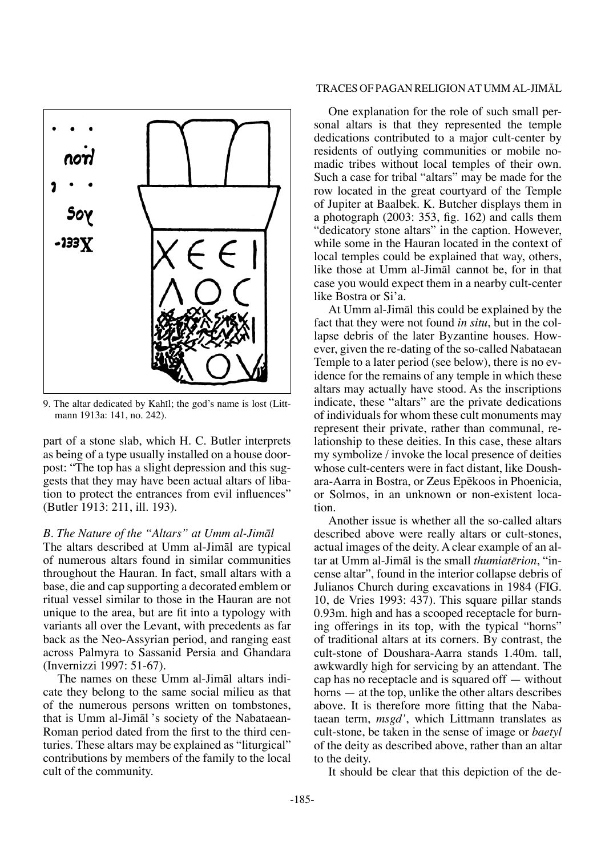

9. The altar dedicated by Kahil; the god's name is lost (Littmann 1913a: 141, no. 242).

part of a stone slab, which H. C. Butler interprets as being of a type usually installed on a house doorpost: "The top has a slight depression and this suggests that they may have been actual altars of libation to protect the entrances from evil influences" (Butler 1913: 211, ill. 193).

## *B. The Nature of the "Altars" at Umm al-Jimål*

The altars described at Umm al-Jimål are typical of numerous altars found in similar communities throughout the Hauran. In fact, small altars with a base, die and cap supporting a decorated emblem or ritual vessel similar to those in the Hauran are not unique to the area, but are fit into a typology with variants all over the Levant, with precedents as far back as the Neo-Assyrian period, and ranging east across Palmyra to Sassanid Persia and Ghandara (Invernizzi 1997: 51-67).

The names on these Umm al-Jimål altars indicate they belong to the same social milieu as that of the numerous persons written on tombstones, that is Umm al-Jimål 's society of the Nabataean-Roman period dated from the first to the third centuries. These altars may be explained as "liturgical" contributions by members of the family to the local cult of the community.

#### Traces of Pagan Religion at Umm al-JimÅl

One explanation for the role of such small personal altars is that they represented the temple dedications contributed to a major cult-center by residents of outlying communities or mobile nomadic tribes without local temples of their own. Such a case for tribal "altars" may be made for the row located in the great courtyard of the Temple of Jupiter at Baalbek. K. Butcher displays them in a photograph (2003: 353, fig. 162) and calls them "dedicatory stone altars" in the caption. However, while some in the Hauran located in the context of local temples could be explained that way, others, like those at Umm al-Jimål cannot be, for in that case you would expect them in a nearby cult-center like Bostra or Si'a.

At Umm al-Jimål this could be explained by the fact that they were not found *in situ*, but in the collapse debris of the later Byzantine houses. However, given the re-dating of the so-called Nabataean Temple to a later period (see below), there is no evidence for the remains of any temple in which these altars may actually have stood. As the inscriptions indicate, these "altars" are the private dedications of individuals for whom these cult monuments may represent their private, rather than communal, relationship to these deities. In this case, these altars my symbolize / invoke the local presence of deities whose cult-centers were in fact distant, like Doushara-Aarra in Bostra, or Zeus Epækoos in Phoenicia, or Solmos, in an unknown or non-existent location.

Another issue is whether all the so-called altars described above were really altars or cult-stones, actual images of the deity. A clear example of an altar at Umm al-Jimål is the small *thumiatērion*, "incense altar", found in the interior collapse debris of Julianos Church during excavations in 1984 (FIG. 10, de Vries 1993: 437). This square pillar stands 0.93m. high and has a scooped receptacle for burning offerings in its top, with the typical "horns" of traditional altars at its corners. By contrast, the cult-stone of Doushara-Aarra stands 1.40m. tall, awkwardly high for servicing by an attendant. The cap has no receptacle and is squared off — without horns — at the top, unlike the other altars describes above. It is therefore more fitting that the Nabataean term, *msgd'*, which Littmann translates as cult-stone, be taken in the sense of image or *baetyl* of the deity as described above, rather than an altar to the deity.

It should be clear that this depiction of the de-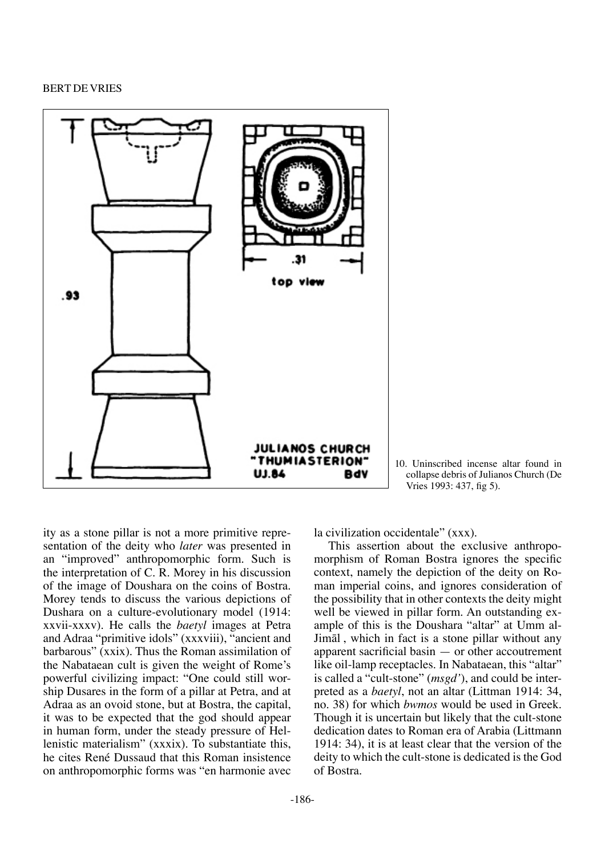

10. Uninscribed incense altar found in collapse debris of Julianos Church (De Vries 1993: 437, fig 5).

ity as a stone pillar is not a more primitive representation of the deity who *later* was presented in an "improved" anthropomorphic form. Such is the interpretation of C. R. Morey in his discussion of the image of Doushara on the coins of Bostra. Morey tends to discuss the various depictions of Dushara on a culture-evolutionary model (1914: xxvii-xxxv). He calls the *baetyl* images at Petra and Adraa "primitive idols" (xxxviii), "ancient and barbarous" (xxix). Thus the Roman assimilation of the Nabataean cult is given the weight of Rome's powerful civilizing impact: "One could still worship Dusares in the form of a pillar at Petra, and at Adraa as an ovoid stone, but at Bostra, the capital, it was to be expected that the god should appear in human form, under the steady pressure of Hellenistic materialism" (xxxix). To substantiate this, he cites René Dussaud that this Roman insistence on anthropomorphic forms was "en harmonie avec

la civilization occidentale" (xxx).

This assertion about the exclusive anthropomorphism of Roman Bostra ignores the specific context, namely the depiction of the deity on Roman imperial coins, and ignores consideration of the possibility that in other contexts the deity might well be viewed in pillar form. An outstanding example of this is the Doushara "altar" at Umm al-Jimål , which in fact is a stone pillar without any apparent sacrificial basin — or other accoutrement like oil-lamp receptacles. In Nabataean, this "altar" is called a "cult-stone" (*msgd'*), and could be interpreted as a *baetyl*, not an altar (Littman 1914: 34, no. 38) for which *bwmos* would be used in Greek. Though it is uncertain but likely that the cult-stone dedication dates to Roman era of Arabia (Littmann 1914: 34), it is at least clear that the version of the deity to which the cult-stone is dedicated is the God of Bostra.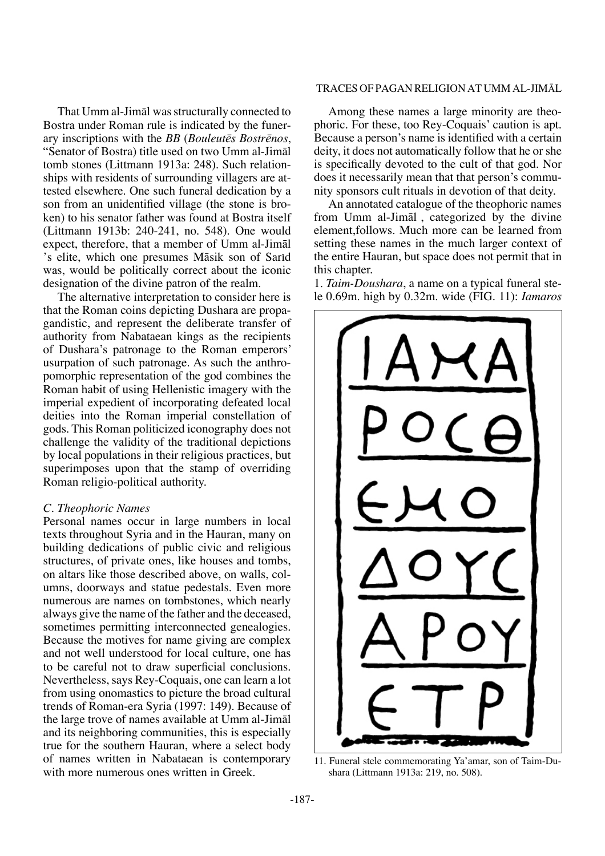That Umm al-Jimål was structurally connected to Bostra under Roman rule is indicated by the funerary inscriptions with the *BB* (*Bouleutæs Bostrænos*, "Senator of Bostra) title used on two Umm al-Jimål tomb stones (Littmann 1913a: 248). Such relationships with residents of surrounding villagers are attested elsewhere. One such funeral dedication by a son from an unidentified village (the stone is broken) to his senator father was found at Bostra itself (Littmann 1913b: 240-241, no. 548). One would expect, therefore, that a member of Umm al-Jimål 's elite, which one presumes Māsik son of Sarīd was, would be politically correct about the iconic designation of the divine patron of the realm.

The alternative interpretation to consider here is that the Roman coins depicting Dushara are propagandistic, and represent the deliberate transfer of authority from Nabataean kings as the recipients of Dushara's patronage to the Roman emperors' usurpation of such patronage. As such the anthropomorphic representation of the god combines the Roman habit of using Hellenistic imagery with the imperial expedient of incorporating defeated local deities into the Roman imperial constellation of gods. This Roman politicized iconography does not challenge the validity of the traditional depictions by local populations in their religious practices, but superimposes upon that the stamp of overriding Roman religio-political authority.

## *C. Theophoric Names*

Personal names occur in large numbers in local texts throughout Syria and in the Hauran, many on building dedications of public civic and religious structures, of private ones, like houses and tombs, on altars like those described above, on walls, columns, doorways and statue pedestals. Even more numerous are names on tombstones, which nearly always give the name of the father and the deceased, sometimes permitting interconnected genealogies. Because the motives for name giving are complex and not well understood for local culture, one has to be careful not to draw superficial conclusions. Nevertheless, says Rey-Coquais, one can learn a lot from using onomastics to picture the broad cultural trends of Roman-era Syria (1997: 149). Because of the large trove of names available at Umm al-Jimål and its neighboring communities, this is especially true for the southern Hauran, where a select body of names written in Nabataean is contemporary with more numerous ones written in Greek.

#### Traces of Pagan Religion at Umm al-JimÅl

Among these names a large minority are theophoric. For these, too Rey-Coquais' caution is apt. Because a person's name is identified with a certain deity, it does not automatically follow that he or she is specifically devoted to the cult of that god. Nor does it necessarily mean that that person's community sponsors cult rituals in devotion of that deity.

An annotated catalogue of the theophoric names from Umm al-Jimål , categorized by the divine element,follows. Much more can be learned from setting these names in the much larger context of the entire Hauran, but space does not permit that in this chapter.

1. *Taim-Doushara*, a name on a typical funeral stele 0.69m. high by 0.32m. wide (FIG. 11): *Iamaros* 



11. Funeral stele commemorating Ya'amar, son of Taim-Dushara (Littmann 1913a: 219, no. 508).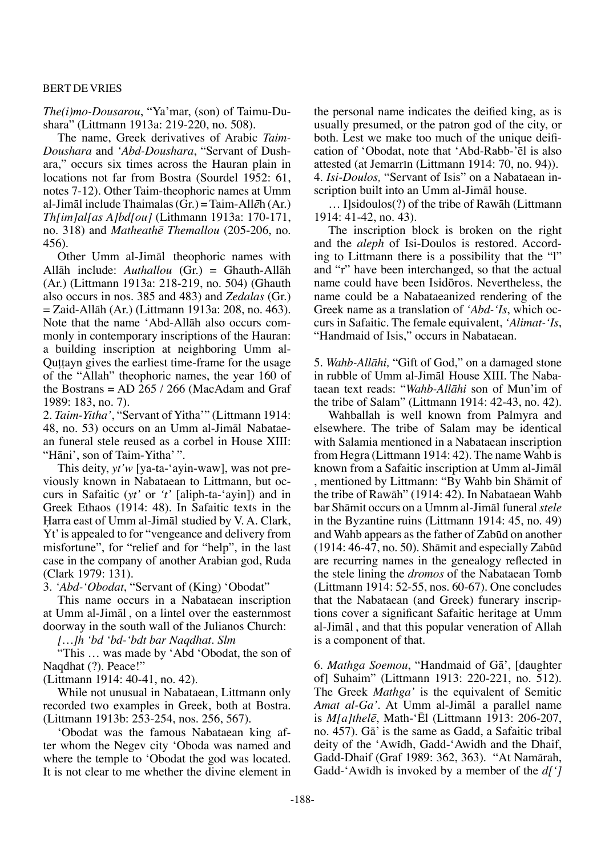*The(i)mo-Dousarou*, "Ya'mar, (son) of Taimu-Dushara" (Littmann 1913a: 219-220, no. 508).

The name, Greek derivatives of Arabic *Taim-Doushara* and *'Abd-Doushara*, "Servant of Dushara," occurs six times across the Hauran plain in locations not far from Bostra (Sourdel 1952: 61, notes 7-12). Other Taim-theophoric names at Umm al-Jimål include Thaimalas (Gr.) = Taim-All*æ*h (Ar.) *Th[im]al[as A]bd[ou]* (Lithmann 1913a: 170-171, no. 318) and *Matheathæ Themallou* (205-206, no. 456).

Other Umm al-Jimål theophoric names with Allåh include: *Authallou* (Gr.) = Ghauth-Allåh (Ar.) (Littmann 1913a: 218-219, no. 504) (Ghauth also occurs in nos. 385 and 483) and *Zedalas* (Gr.) = Zaid-Allåh (Ar.) (Littmann 1913a: 208, no. 463). Note that the name 'Abd-Allåh also occurs commonly in contemporary inscriptions of the Hauran: a building inscription at neighboring Umm al-Quttayn gives the earliest time-frame for the usage of the "Allah" theophoric names, the year 160 of the Bostrans = AD 265 / 266 (MacAdam and Graf 1989: 183, no. 7).

2. *Taim-Yitha'*, "Servant of Yitha'" (Littmann 1914: 48, no. 53) occurs on an Umm al-Jimål Nabataean funeral stele reused as a corbel in House XIII: "Håni', son of Taim-Yitha' ".

This deity, *yt'w* [ya-ta-'ayin-waw], was not previously known in Nabataean to Littmann, but occurs in Safaitic (*yt'* or *'t'* [aliph-ta-'ayin]) and in Greek Ethaos (1914: 48). In Safaitic texts in the Harra east of Umm al-Jimāl studied by V. A. Clark, Yt' is appealed to for "vengeance and delivery from misfortune", for "relief and for "help", in the last case in the company of another Arabian god, Ruda (Clark 1979: 131).

3. *'Abd-'Obodat*, "Servant of (King) 'Obodat"

This name occurs in a Nabataean inscription at Umm al-Jimål , on a lintel over the easternmost doorway in the south wall of the Julianos Church:

*[…]h 'bd 'bd-'bdt bar Naqdhat. Slm*

"This … was made by 'Abd 'Obodat, the son of Naqdhat (?). Peace!"

(Littmann 1914: 40-41, no. 42).

While not unusual in Nabataean, Littmann only recorded two examples in Greek, both at Bostra. (Littmann 1913b: 253-254, nos. 256, 567).

'Obodat was the famous Nabataean king after whom the Negev city 'Oboda was named and where the temple to 'Obodat the god was located. It is not clear to me whether the divine element in the personal name indicates the deified king, as is usually presumed, or the patron god of the city, or both. Lest we make too much of the unique deification of 'Obodat, note that 'Abd-Rabb-'ēl is also attested (at Jemarrin (Littmann 1914: 70, no. 94)). 4. *Isi-Doulos,* "Servant of Isis" on a Nabataean inscription built into an Umm al-Jimål house.

… I]sidoulos(?) of the tribe of Rawåh (Littmann 1914: 41-42, no. 43).

The inscription block is broken on the right and the *aleph* of Isi-Doulos is restored. According to Littmann there is a possibility that the "l" and "r" have been interchanged, so that the actual name could have been IsidÒros. Nevertheless, the name could be a Nabataeanized rendering of the Greek name as a translation of *'Abd-'Is*, which occurs in Safaitic. The female equivalent, *'Alimat-'Is*, "Handmaid of Isis," occurs in Nabataean.

5. *Wahb-Allåhi,* "Gift of God," on a damaged stone in rubble of Umm al-Jimål House XIII. The Nabataean text reads: "*Wahb-Allåhi* son of Mun'im of the tribe of Salam" (Littmann 1914: 42-43, no. 42).

Wahballah is well known from Palmyra and elsewhere. The tribe of Salam may be identical with Salamia mentioned in a Nabataean inscription from Hegra (Littmann 1914: 42). The name Wahb is known from a Safaitic inscription at Umm al-Jimål , mentioned by Littmann: "By Wahb bin Shåmit of the tribe of Rawåh" (1914: 42). In Nabataean Wahb bar Shåmit occurs on a Umnm al-Jimål funeral *stele* in the Byzantine ruins (Littmann 1914: 45, no. 49) and Wahb appears as the father of Zabūd on another  $(1914: 46-47, no. 50)$ . Shāmit and especially Zabūd are recurring names in the genealogy reflected in the stele lining the *dromos* of the Nabataean Tomb (Littmann 1914: 52-55, nos. 60-67). One concludes that the Nabataean (and Greek) funerary inscriptions cover a significant Safaitic heritage at Umm al-Jimål , and that this popular veneration of Allah is a component of that.

6. *Mathga Soemou*, "Handmaid of Gå', [daughter of] Suhaim" (Littmann 1913: 220-221, no. 512). The Greek *Mathga'* is the equivalent of Semitic *Amat al-Ga'*. At Umm al-Jimål a parallel name is *M[a]thelæ*, Math-'Ēl (Littmann 1913: 206-207, no. 457). Gå' is the same as Gadd, a Safaitic tribal deity of the 'Awidh, Gadd-'Awidh and the Dhaif, Gadd-Dhaif (Graf 1989: 362, 363). "At Namårah, Gadd-'Awidh is invoked by a member of the  $d[i]$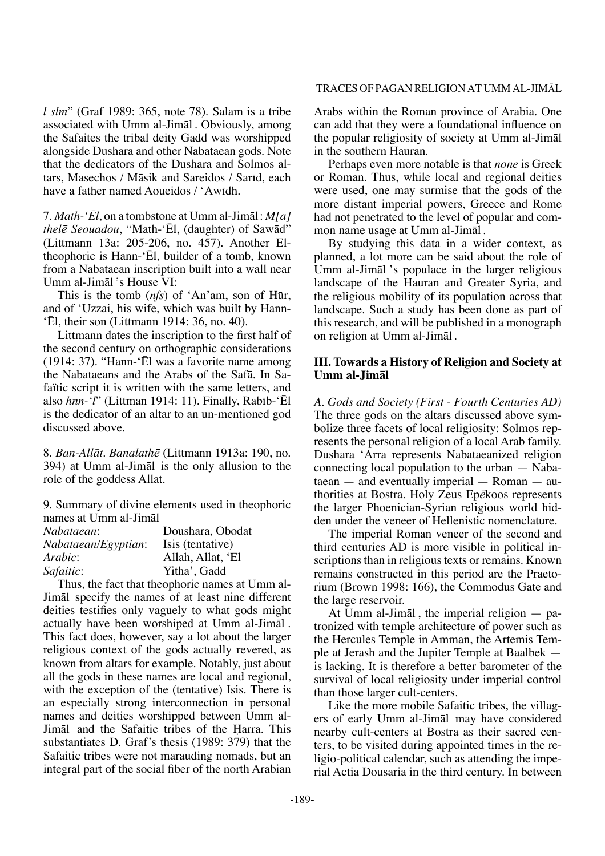#### Traces of Pagan Religion at Umm al-JimÅl

*l slm*" (Graf 1989: 365, note 78). Salam is a tribe associated with Umm al-Jimål . Obviously, among the Safaites the tribal deity Gadd was worshipped alongside Dushara and other Nabataean gods. Note that the dedicators of the Dushara and Solmos altars, Masechos / Māsik and Sareidos / Sarīd, each have a father named Aoueidos / 'Awidh.

7. *Math-'Ēl*, on a tombstone at Umm al-Jimål : *M[a] thelæ Seouadou*, "Math-'Ēl, (daughter) of Sawåd" (Littmann 13a: 205-206, no. 457). Another Eltheophoric is Hann-'Ēl, builder of a tomb, known from a Nabataean inscription built into a wall near Umm al-Jimål 's House VI:

This is the tomb (*nfs*) of 'An'am, son of Hør, and of 'Uzzai, his wife, which was built by Hann- 'Ēl, their son (Littmann 1914: 36, no. 40).

Littmann dates the inscription to the first half of the second century on orthographic considerations (1914: 37). "Hann-'Ēl was a favorite name among the Nabataeans and the Arabs of the Safå. In Safaïtic script it is written with the same letters, and also *hnn-'l*" (Littman 1914: 11). Finally, Rabib-'Ēl is the dedicator of an altar to an un-mentioned god discussed above.

8. *Ban-Allåt*. *Banalathæ* (Littmann 1913a: 190, no. 394) at Umm al-Jimål is the only allusion to the role of the goddess Allat.

9. Summary of divine elements used in theophoric names at Umm al-Jimål

| Nabataean:          | Doushara, Obodat  |
|---------------------|-------------------|
| Nabataean/Egyptian: | Isis (tentative)  |
| Arabic:             | Allah, Allat, 'El |
| Safaitic:           | Yitha', Gadd      |

Thus, the fact that theophoric names at Umm al-Jimål specify the names of at least nine different deities testifies only vaguely to what gods might actually have been worshiped at Umm al-Jimål . This fact does, however, say a lot about the larger religious context of the gods actually revered, as known from altars for example. Notably, just about all the gods in these names are local and regional, with the exception of the (tentative) Isis. There is an especially strong interconnection in personal names and deities worshipped between Umm al-Jimal and the Safaitic tribes of the Harra. This substantiates D. Graf's thesis (1989: 379) that the Safaitic tribes were not marauding nomads, but an integral part of the social fiber of the north Arabian

Arabs within the Roman province of Arabia. One can add that they were a foundational influence on the popular religiosity of society at Umm al-Jimål in the southern Hauran.

Perhaps even more notable is that *none* is Greek or Roman. Thus, while local and regional deities were used, one may surmise that the gods of the more distant imperial powers, Greece and Rome had not penetrated to the level of popular and common name usage at Umm al-Jimål .

By studying this data in a wider context, as planned, a lot more can be said about the role of Umm al-Jimål 's populace in the larger religious landscape of the Hauran and Greater Syria, and the religious mobility of its population across that landscape. Such a study has been done as part of this research, and will be published in a monograph on religion at Umm al-Jimål .

# **III. Towards a History of Religion and Society at Umm al-Jimål**

*A. Gods and Society (First - Fourth Centuries AD)* The three gods on the altars discussed above symbolize three facets of local religiosity: Solmos represents the personal religion of a local Arab family. Dushara 'Arra represents Nabataeanized religion connecting local population to the urban — Nabataean — and eventually imperial — Roman — authorities at Bostra. Holy Zeus Ep*æ*koos represents the larger Phoenician-Syrian religious world hidden under the veneer of Hellenistic nomenclature.

The imperial Roman veneer of the second and third centuries AD is more visible in political inscriptions than in religious texts or remains. Known remains constructed in this period are the Praetorium (Brown 1998: 166), the Commodus Gate and the large reservoir.

At Umm al-Jimål , the imperial religion — patronized with temple architecture of power such as the Hercules Temple in Amman, the Artemis Temple at Jerash and the Jupiter Temple at Baalbek is lacking. It is therefore a better barometer of the survival of local religiosity under imperial control than those larger cult-centers.

Like the more mobile Safaitic tribes, the villagers of early Umm al-Jimål may have considered nearby cult-centers at Bostra as their sacred centers, to be visited during appointed times in the religio-political calendar, such as attending the imperial Actia Dousaria in the third century. In between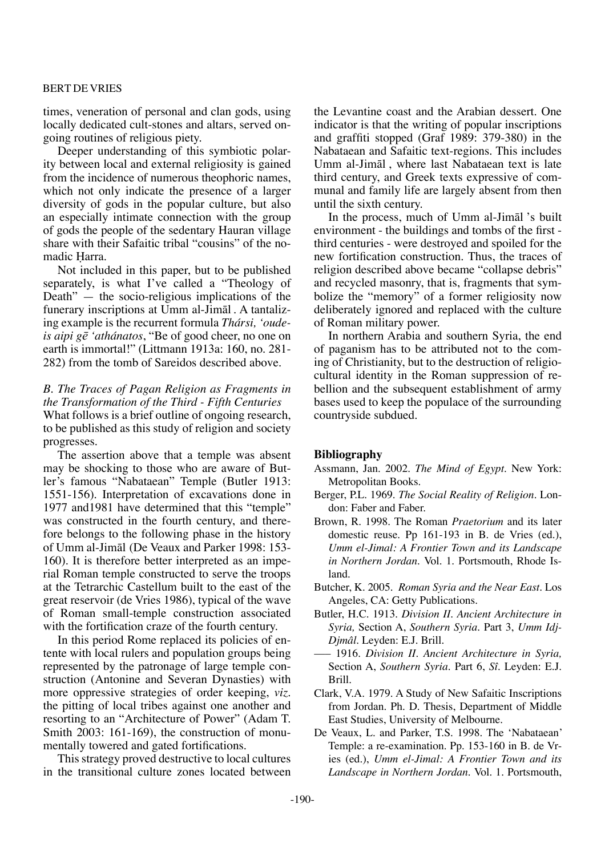times, veneration of personal and clan gods, using locally dedicated cult-stones and altars, served ongoing routines of religious piety.

Deeper understanding of this symbiotic polarity between local and external religiosity is gained from the incidence of numerous theophoric names, which not only indicate the presence of a larger diversity of gods in the popular culture, but also an especially intimate connection with the group of gods the people of the sedentary Hauran village share with their Safaitic tribal "cousins" of the nomadic Harra.

Not included in this paper, but to be published separately, is what I've called a "Theology of Death" — the socio-religious implications of the funerary inscriptions at Umm al-Jimål . A tantalizing example is the recurrent formula *Thársi, 'oudeis aipi gæ 'athánatos*, "Be of good cheer, no one on earth is immortal!" (Littmann 1913a: 160, no. 281- 282) from the tomb of Sareidos described above.

## *B. The Traces of Pagan Religion as Fragments in the Transformation of the Third - Fifth Centuries* What follows is a brief outline of ongoing research, to be published as this study of religion and society progresses.

The assertion above that a temple was absent may be shocking to those who are aware of Butler's famous "Nabataean" Temple (Butler 1913: 1551-156). Interpretation of excavations done in 1977 and1981 have determined that this "temple" was constructed in the fourth century, and therefore belongs to the following phase in the history of Umm al-Jimål (De Veaux and Parker 1998: 153- 160). It is therefore better interpreted as an imperial Roman temple constructed to serve the troops at the Tetrarchic Castellum built to the east of the great reservoir (de Vries 1986), typical of the wave of Roman small-temple construction associated with the fortification craze of the fourth century.

In this period Rome replaced its policies of entente with local rulers and population groups being represented by the patronage of large temple construction (Antonine and Severan Dynasties) with more oppressive strategies of order keeping, *viz.* the pitting of local tribes against one another and resorting to an "Architecture of Power" (Adam T. Smith 2003: 161-169), the construction of monumentally towered and gated fortifications.

This strategy proved destructive to local cultures in the transitional culture zones located between the Levantine coast and the Arabian dessert. One indicator is that the writing of popular inscriptions and graffiti stopped (Graf 1989: 379-380) in the Nabataean and Safaitic text-regions. This includes Umm al-Jimål , where last Nabataean text is late third century, and Greek texts expressive of communal and family life are largely absent from then until the sixth century.

In the process, much of Umm al-Jimål 's built environment - the buildings and tombs of the first third centuries - were destroyed and spoiled for the new fortification construction. Thus, the traces of religion described above became "collapse debris" and recycled masonry, that is, fragments that symbolize the "memory" of a former religiosity now deliberately ignored and replaced with the culture of Roman military power.

In northern Arabia and southern Syria, the end of paganism has to be attributed not to the coming of Christianity, but to the destruction of religiocultural identity in the Roman suppression of rebellion and the subsequent establishment of army bases used to keep the populace of the surrounding countryside subdued.

## **Bibliography**

- Assmann, Jan. 2002. *The Mind of Egypt*. New York: Metropolitan Books.
- Berger, P.L. 1969. *The Social Reality of Religion*. London: Faber and Faber.
- Brown, R. 1998. The Roman *Praetorium* and its later domestic reuse. Pp 161-193 in B. de Vries (ed.), *Umm el-Jimal: A Frontier Town and its Landscape in Northern Jordan.* Vol. 1. Portsmouth, Rhode Island.
- Butcher, K. 2005. *Roman Syria and the Near East.* Los Angeles, CA: Getty Publications.
- Butler, H.C. 1913. *Division II. Ancient Architecture in Syria,* Section A, *Southern Syria.* Part 3, *Umm Idj-Djmâl.* Leyden: E.J. Brill.
- ––– 1916. *Division II. Ancient Architecture in Syria,*  Section A, *Southern Syria.* Part 6, *Sî.* Leyden: E.J. Brill.
- Clark, V.A. 1979. A Study of New Safaitic Inscriptions from Jordan. Ph. D. Thesis, Department of Middle East Studies, University of Melbourne.
- De Veaux, L. and Parker, T.S. 1998. The 'Nabataean' Temple: a re-examination. Pp. 153-160 in B. de Vries (ed.), *Umm el-Jimal: A Frontier Town and its Landscape in Northern Jordan.* Vol. 1. Portsmouth,